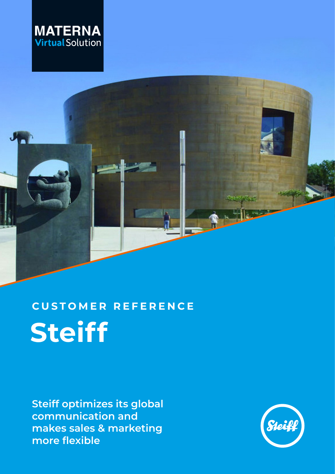



# **Steiff CUSTOMER REFERENCE**

**Steiff optimizes its global communication and makes sales & marketing more flexible** 

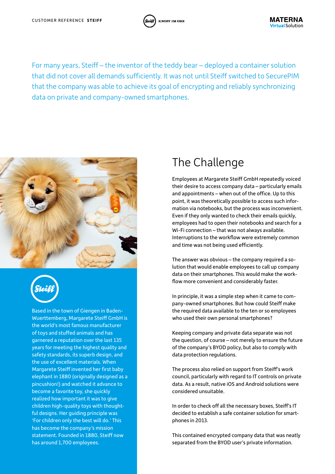

**KNOPF IM OHR** 



Based in the town of Giengen in Baden-Wuerttemberg, Margarete Steiff GmbH is the world's most famous manufacturer of toys and stuffed animals and has garnered a reputation over the last 135 years for meeting the highest quality and safety standards, its superb design, and the use of excellent materials. When Margarete Steiff invented her first baby elephant in 1880 (originally designed as a pincushion!) and watched it advance to become a favorite toy, she quickly realized how important it was to give children high-quality toys with thoughtful designs. Her guiding principle was 'For children only the best will do.' This has become the company's mission statement. Founded in 1880, Steiff now has around 1,700 employees.

#### The Challenge

Employees at Margarete Steiff GmbH repeatedly voiced their desire to access company data – particularly emails and appointments – when out of the office. Up to this point, it was theoretically possible to access such information via notebooks, but the process was inconvenient. Even if they only wanted to check their emails quickly, employees had to open their notebooks and search for a Wi-Fi connection – that was not always available. Interruptions to the workflow were extremely common and time was not being used efficiently.

The answer was obvious – the company required a solution that would enable employees to call up company data on their smartphones. This would make the workflow more convenient and considerably faster.

In principle, it was a simple step when it came to company-owned smartphones. But how could Steiff make the required data available to the ten or so employees who used their own personal smartphones?

Keeping company and private data separate was not the question, of course – not merely to ensure the future of the company's BYOD policy, but also to comply with data protection regulations.

The process also relied on support from Steiff's work council, particularly with regard to IT controls on private data. As a result, native iOS and Android solutions were considered unsuitable.

In order to check off all the necessary boxes, Steiff's IT decided to establish a safe container solution for smartphones in 2013.

This contained encrypted company data that was neatly separated from the BYOD user's private information.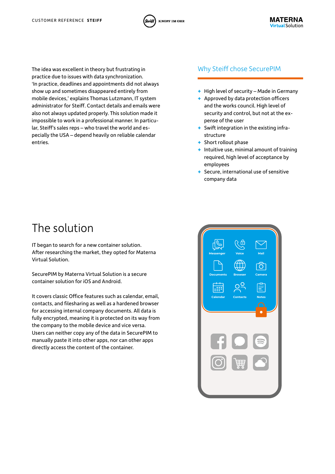



The idea was excellent in theory but frustrating in Why Steiff chose SecurePIM practice due to issues with data synchronization. 'In practice, deadlines and appointments did not always show up and sometimes disappeared entirely from mobile devices,' explains Thomas Lutzmann, IT system administrator for Steiff. Contact details and emails were also not always updated properly. This solution made it impossible to work in a professional manner. In particular, Steiff's sales reps – who travel the world and especially the USA – depend heavily on reliable calendar entries.

- **+** High level of security Made in Germany
- **+** Approved by data protection officers and the works council. High level of security and control, but not at the expense of the user
- **+** Swift integration in the existing infrastructure
- **+** Short rollout phase
- **+** Intuitive use, minimal amount of training required, high level of acceptance by employees
- **+** Secure, international use of sensitive company data

#### The solution

IT began to search for a new container solution. After researching the market, they opted for Materna Virtual Solution.

SecurePIM by Materna Virtual Solution is a secure container solution for iOS and Android.

It covers classic Office features such as calendar, email, contacts, and filesharing as well as a hardened browser for accessing internal company documents. All data is fully encrypted, meaning it is protected on its way from the company to the mobile device and vice versa. Users can neither copy any of the data in SecurePIM to manually paste it into other apps, nor can other apps directly access the content of the container.

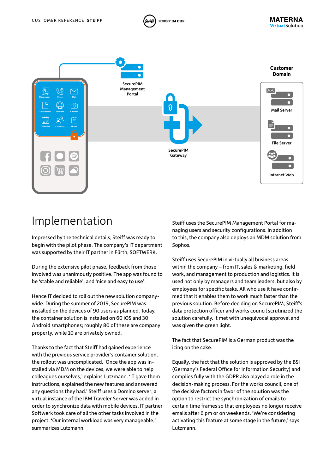

**KNOPF IM OHR** 

## Implementation

Impressed by the technical details, Steiff was ready to begin with the pilot phase. The company's IT department was supported by their IT partner in Fürth, SOFTWERK.

During the extensive pilot phase, feedback from those involved was unanimously positive. The app was found to be 'stable and reliable', and 'nice and easy to use'.

Hence IT decided to roll out the new solution companywide. During the summer of 2019, SecurePIM was installed on the devices of 90 users as planned. Today, the container solution is installed on 60 iOS and 30 Android smartphones; roughly 80 of these are company property, while 10 are privately owned.

Thanks to the fact that Steiff had gained experience with the previous service provider's container solution, the rollout was uncomplicated. 'Once the app was installed via MDM on the devices, we were able to help colleagues ourselves,' explains Lutzmann. 'IT gave them instructions, explained the new features and answered any questions they had.' Steiff uses a Domino server; a virtual instance of the IBM Traveler Server was added in order to synchronize data with mobile devices. IT partner Softwerk took care of all the other tasks involved in the project. 'Our internal workload was very manageable,' summarizes Lutzmann.

Steiff uses the SecurePIM Management Portal for managing users and security configurations. In addition to this, the company also deploys an MDM solution from Sophos.

**MATERNA** 

**Virtual Solution** 

Steiff uses SecurePIM in virtually all business areas within the company – from IT, sales & marketing, field work, and management to production and logistics. It is used not only by managers and team leaders, but also by employees for specific tasks. All who use it have confirmed that it enables them to work much faster than the previous solution. Before deciding on SecurePIM, Steiff's data protection officer and works council scrutinized the solution carefully. It met with unequivocal approval and was given the green light.

The fact that SecurePIM is a German product was the icing on the cake.

Equally, the fact that the solution is approved by the BSI (Germany's Federal Office for Information Security) and complies fully with the GDPR also played a role in the decision-making process. For the works council, one of the decisive factors in favor of the solution was the option to restrict the synchronization of emails to certain time frames so that employees no longer receive emails after 6 pm or on weekends. 'We're considering activating this feature at some stage in the future,' says Lutzmann.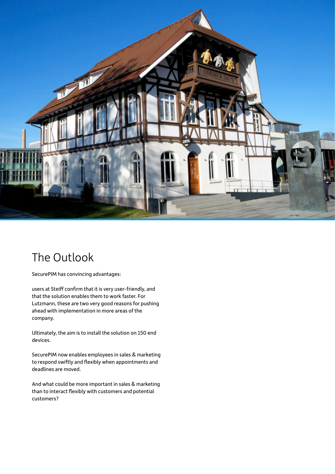

## The Outlook

SecurePIM has convincing advantages:

users at Steiff confirm that it is very user-friendly, and that the solution enables them to work faster. For Lutzmann, these are two very good reasons for pushing ahead with implementation in more areas of the company.

Ultimately, the aim is to install the solution on 150 end devices.

SecurePIM now enables employees in sales & marketing to respond swiftly and flexibly when appointments and deadlines are moved.

And what could be more important in sales & marketing than to interact flexibly with customers and potential customers?